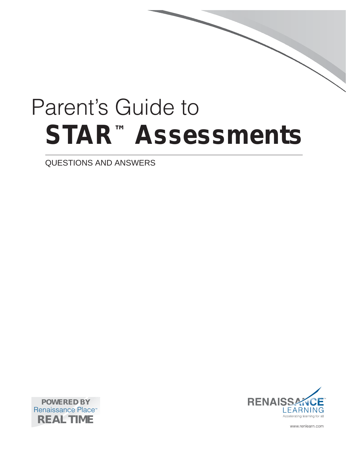# Parent's Guide to **STAR™ Assessments**

Questions and Answers





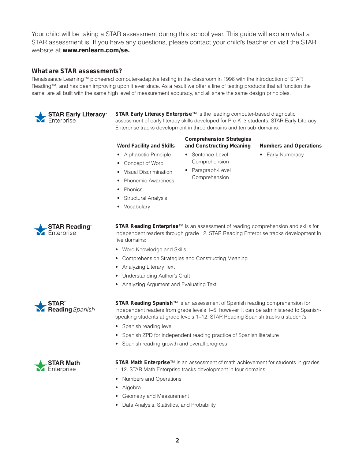Your child will be taking a STAR assessment during this school year. This guide will explain what a STAR assessment is. If you have any questions, please contact your child's teacher or visit the STAR website at **www.renlearn.com/se.**

# **What are STAR assessments?**

Renaissance Learning™ pioneered computer-adaptive testing in the classroom in 1996 with the introduction of STAR Reading™, and has been improving upon it ever since. As a result we offer a line of testing products that all function the same, are all built with the same high level of measurement accuracy, and all share the same design principles.



**STAR Early Literacy Enterprise**™ is the leading computer-based diagnostic assessment of early literacy skills developed for Pre-K–3 students. STAR Early Literacy Enterprise tracks development in three domains and ten sub-domains:

**Comprehension Strategies** 

## **Word Facility and Skills**

- 
- 
- Sentence-Level Comprehension
- **and Constructing Meaning Numbers and Operations**
- • Alphabetic Principle
- • Concept of Word

• Structural Analysis

• Phonics

• Vocabulary

- • Visual Discrimination • Phonemic Awareness
- Paragraph-Level Comprehension
- Early Numeracy

**STAR Reading®** M Enterprise

**STAR Reading Enterprise**™ is an assessment of reading comprehension and skills for independent readers through grade 12. STAR Reading Enterprise tracks development in five domains:

- Word Knowledge and Skills
- • Comprehension Strategies and Constructing Meaning
- Analyzing Literary Text
- • Understanding Author's Craft
- • Analyzing Argument and Evaluating Text



**STAR Reading Spanish**™ is an assessment of Spanish reading comprehension for independent readers from grade levels 1–5; however, it can be administered to Spanishspeaking students at grade levels 1–12. STAR Reading Spanish tracks a student's:

- Spanish reading level
- Spanish ZPD for independent reading practice of Spanish literature
- • Spanish reading growth and overall progress



**STAR Math Enterprise**™ is an assessment of math achievement for students in grades 1–12. STAR Math Enterprise tracks development in four domains:

- • Numbers and Operations
- • Algebra
- Geometry and Measurement
- • Data Analysis, Statistics, and Probability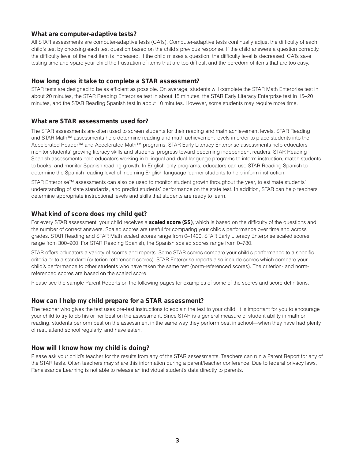# **What are computer-adaptive tests?**

All STAR assessments are computer-adaptive tests (CATs). Computer-adaptive tests continually adjust the difficulty of each child's test by choosing each test question based on the child's previous response. If the child answers a question correctly, the difficulty level of the next item is increased. If the child misses a question, the difficulty level is decreased. CATs save testing time and spare your child the frustration of items that are too difficult and the boredom of items that are too easy.

# **How long does it take to complete a STAR assessment?**

STAR tests are designed to be as efficient as possible. On average, students will complete the STAR Math Enterprise test in about 20 minutes, the STAR Reading Enterprise test in about 15 minutes, the STAR Early Literacy Enterprise test in 15–20 minutes, and the STAR Reading Spanish test in about 10 minutes. However, some students may require more time.

# **What are STAR assessments used for?**

The STAR assessments are often used to screen students for their reading and math achievement levels. STAR Reading and STAR Math™ assessments help determine reading and math achievement levels in order to place students into the Accelerated Reader™ and Accelerated Math™ programs. STAR Early Literacy Enterprise assessments help educators monitor students' growing literacy skills and students' progress toward becoming independent readers. STAR Reading Spanish assessments help educators working in bilingual and dual-language programs to inform instruction, match students to books, and monitor Spanish reading growth. In English-only programs, educators can use STAR Reading Spanish to determine the Spanish reading level of incoming English language learner students to help inform instruction.

STAR Enterprise™ assessments can also be used to monitor student growth throughout the year, to estimate students' understanding of state standards, and predict students' performance on the state test. In addition, STAR can help teachers determine appropriate instructional levels and skills that students are ready to learn.

# **What kind of score does my child get?**

For every STAR assessment, your child receives a **scaled score (SS)**, which is based on the difficulty of the questions and the number of correct answers. Scaled scores are useful for comparing your child's performance over time and across grades. STAR Reading and STAR Math scaled scores range from 0–1400. STAR Early Literacy Enterprise scaled scores range from 300–900. For STAR Reading Spanish, the Spanish scaled scores range from 0–780.

STAR offers educators a variety of scores and reports. Some STAR scores compare your child's performance to a specific criteria or to a standard (criterion-referenced scores). STAR Enterprise reports also include scores which compare your child's performance to other students who have taken the same test (norm-referenced scores). The criterion- and normreferenced scores are based on the scaled score.

Please see the sample Parent Reports on the following pages for examples of some of the scores and score definitions.

## **How can I help my child prepare for a STAR assessment?**

The teacher who gives the test uses pre-test instructions to explain the test to your child. It is important for you to encourage your child to try to do his or her best on the assessment. Since STAR is a general measure of student ability in math or reading, students perform best on the assessment in the same way they perform best in school—when they have had plenty of rest, attend school regularly, and have eaten.

# **How will I know how my child is doing?**

Please ask your child's teacher for the results from any of the STAR assessments. Teachers can run a Parent Report for any of the STAR tests. Often teachers may share this information during a parent/teacher conference. Due to federal privacy laws, Renaissance Learning is not able to release an individual student's data directly to parents.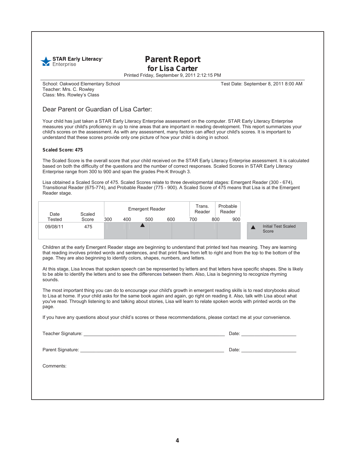

# **Parent Report for Lisa Carter**

Printed Friday, September 9, 2011 2:12:15 PM

Teacher: Mrs. C. Rowley Class: Mrs. Rowley's Class

School: Oakwood Elementary School Test Date: September 8, 2011 8:00 AM

## Dear Parent or Guardian of Lisa Carter:

Your child has just taken a STAR Early Literacy Enterprise assessment on the computer. STAR Early Literacy Enterprise measures your child's proficiency in up to nine areas that are important in reading development. This report summarizes your child's scores on the assessment. As with any assessment, many factors can affect your child's scores. It is important to understand that these scores provide only one picture of how your child is doing in school.

#### **Scaled Score: 475**

The Scaled Score is the overall score that your child received on the STAR Early Literacy Enterprise assessment. It is calculated based on both the difficulty of the questions and the number of correct responses. Scaled Scores in STAR Early Literacy Enterprise range from 300 to 900 and span the grades Pre-K through 3.

Lisa obtained a Scaled Score of 475. Scaled Scores relate to three developmental stages: Emergent Reader (300 - 674), Transitional Reader (675-774), and Probable Reader (775 - 900). A Scaled Score of 475 means that Lisa is at the Emergent Reader stage.

| Date     | Scaled |     | <b>Emergent Reader</b> |     |     | Trans.<br>Reader |     | Probable<br>Reader |  |                                     |
|----------|--------|-----|------------------------|-----|-----|------------------|-----|--------------------|--|-------------------------------------|
| Tested   | Score  | 300 | 400                    | 500 | 600 | 700              | 800 | 900                |  |                                     |
| 09/08/11 | 475    |     |                        |     |     |                  |     |                    |  | <b>Initial Test Scaled</b><br>Score |

Children at the early Emergent Reader stage are beginning to understand that printed text has meaning. They are learning that reading involves printed words and sentences, and that print flows from left to right and from the top to the bottom of the page. They are also beginning to identify colors, shapes, numbers, and letters.

At this stage, Lisa knows that spoken speech can be represented by letters and that letters have specific shapes. She is likely to be able to identify the letters and to see the differences between them. Also, Lisa is beginning to recognize rhyming sounds.

The most important thing you can do to encourage your child's growth in emergent reading skills is to read storybooks aloud to Lisa at home. If your child asks for the same book again and again, go right on reading it. Also, talk with Lisa about what you've read. Through listening to and talking about stories, Lisa will learn to relate spoken words with printed words on the page.

If you have any questions about your child's scores or these recommendations, please contact me at your convenience.

Teacher Signature: \_\_\_\_\_\_\_\_\_\_\_\_\_\_\_\_\_\_\_\_\_\_\_\_\_\_\_\_\_\_\_\_\_\_\_\_\_\_\_\_\_\_\_\_\_\_\_\_\_\_\_\_\_\_ Date: \_\_\_\_\_\_\_\_\_\_\_\_\_\_\_\_\_\_\_\_\_

Parent Signature: \_\_\_\_\_\_\_\_\_\_\_\_\_\_\_\_\_\_\_\_\_\_\_\_\_\_\_\_\_\_\_\_\_\_\_\_\_\_\_\_\_\_\_\_\_\_\_\_\_\_\_\_\_\_\_ Date: \_\_\_\_\_\_\_\_\_\_\_\_\_\_\_\_\_\_\_\_\_

Comments: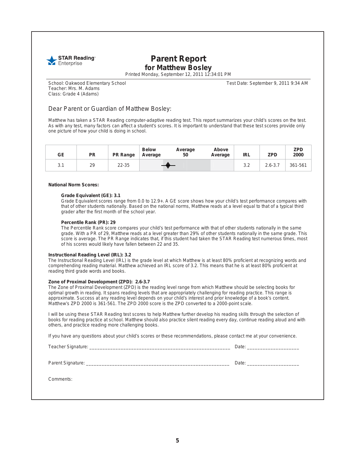

# **Parent Report for Matthew Bosley**

Printed Monday, September 12, 2011 12:34:01 PM

Teacher: Mrs. M. Adams Class: Grade 4 (Adams)

School: Oakwood Elementary School Test Date: September 9, 2011 9:34 AM

## Dear Parent or Guardian of Matthew Bosley:

Matthew has taken a STAR Reading computer-adaptive reading test. This report summarizes your child's scores on the test. As with any test, many factors can affect a student's scores. It is important to understand that these test scores provide only one picture of how your child is doing in school.

| GE  | <b>PR</b> | <b>PR Range</b> | <b>Below</b><br>Average | Average<br>50 | Above<br>Average | <b>IRL</b> | <b>ZPD</b>  | <b>ZPD</b><br>2000 |
|-----|-----------|-----------------|-------------------------|---------------|------------------|------------|-------------|--------------------|
| 3.1 | 29        | $22 - 35$       |                         |               |                  | 3.2        | $2.6 - 3.7$ | 361-561            |

#### **National Norm Scores:**

#### **Grade Equivalent (GE): 3.1**

Grade Equivalent scores range from 0.0 to 12.9+. A GE score shows how your child's test performance compares with that of other students nationally. Based on the national norms, Matthew reads at a level equal to that of a typical third grader after the first month of the school year.

#### **Percentile Rank (PR): 29**

The Percentile Rank score compares your child's test performance with that of other students nationally in the same grade. With a PR of 29, Matthew reads at a level greater than 29% of other students nationally in the same grade. This score is average. The PR Range indicates that, if this student had taken the STAR Reading test numerous times, most of his scores would likely have fallen between 22 and 35.

#### **Instructional Reading Level (IRL): 3.2**

The Instructional Reading Level (IRL) is the grade level at which Matthew is at least 80% proficient at recognizing words and comprehending reading material. Matthew achieved an IRL score of 3.2. This means that he is at least 80% proficient at reading third grade words and books.

#### **Zone of Proximal Development (ZPD): 2.6-3.7**

The Zone of Proximal Development (ZPD) is the reading level range from which Matthew should be selecting books for optimal growth in reading. It spans reading levels that are appropriately challenging for reading practice. This range is approximate. Success at any reading level depends on your child's interest and prior knowledge of a book's content. Matthew's ZPD 2000 is 361-561. The ZPD 2000 score is the ZPD converted to a 2000-point scale.

I will be using these STAR Reading test scores to help Matthew further develop his reading skills through the selection of books for reading practice at school. Matthew should also practice silent reading every day, continue reading aloud and with others, and practice reading more challenging books.

If you have any questions about your child's scores or these recommendations, please contact me at your convenience.

Teacher Signature: \_\_\_\_\_\_\_\_\_\_\_\_\_\_\_\_\_\_\_\_\_\_\_\_\_\_\_\_\_\_\_\_\_\_\_\_\_\_\_\_\_\_\_\_\_\_\_\_\_\_\_\_\_\_ Date: \_\_\_\_\_\_\_\_\_\_\_\_\_\_\_\_\_\_\_\_

Parent Signature: \_\_\_\_\_\_\_\_\_\_\_\_\_\_\_\_\_\_\_\_\_\_\_\_\_\_\_\_\_\_\_\_\_\_\_\_\_\_\_\_\_\_\_\_\_\_\_\_\_\_\_\_\_\_\_ Date: \_\_\_\_\_\_\_\_\_\_\_\_\_\_\_\_\_\_\_\_

Comments: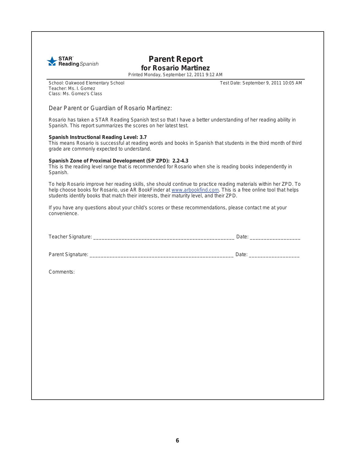

# **Parent Report for Rosario Martinez**

Printed Monday, September 12, 2011 9:12 AM

Teacher: Ms. I. Gomez Class: Ms. Gomez's Class

School: Oakwood Elementary School Test Date: September 9, 2011 10:05 AM

## Dear Parent or Guardian of Rosario Martinez:

Rosario has taken a STAR Reading Spanish test so that I have a better understanding of her reading ability in Spanish. This report summarizes the scores on her latest test.

#### **Spanish Instructional Reading Level: 3.7**

This means Rosario is successful at reading words and books in Spanish that students in the third month of third grade are commonly expected to understand.

#### **Spanish Zone of Proximal Development (SP ZPD): 2.2-4.3**

This is the reading level range that is recommended for Rosario when she is reading books independently in Spanish.

To help Rosario improve her reading skills, she should continue to practice reading materials within her ZPD. To help choose books for Rosario, use AR BookFinder at www.arbookfind.com. This is a free online tool that helps students identify books that match their interests, their maturity level, and their ZPD.

If you have any questions about your child's scores or these recommendations, please contact me at your convenience.

| $\sim$<br>Teacher<br>Signature: | 30.47 |  |
|---------------------------------|-------|--|
|                                 | Dale  |  |

Parent Signature: \_\_\_\_\_\_\_\_\_\_\_\_\_\_\_\_\_\_\_\_\_\_\_\_\_\_\_\_\_\_\_\_\_\_\_\_\_\_\_\_\_\_\_\_\_\_\_\_\_\_\_ Date: \_\_\_\_\_\_\_\_\_\_\_\_\_\_\_\_\_\_

Comments: